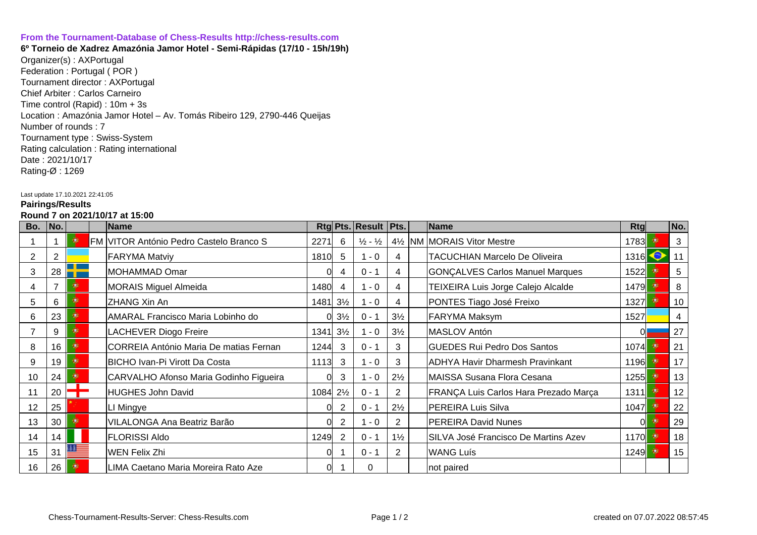## **[From the Tournament-Database of Chess-Results http://chess-results.com](http://chess-results.com/)**

**6º Torneio de Xadrez Amazónia Jamor Hotel - Semi-Rápidas (17/10 - 15h/19h)**  Organizer(s) : AXPortugal Federation : Portugal ( POR ) Tournament director : AXPortugal Chief Arbiter : Carlos Carneiro Time control (Rapid) : 10m + 3s Location : Amazónia Jamor Hotel – Av. Tomás Ribeiro 129, 2790-446 Queijas Number of rounds : 7 Tournament type : Swiss-System Rating calculation : Rating international Date : 2021/10/17 Rating-Ø : 1269

## Last update 17.10.2021 22:41:05

## **Pairings/Results**

## **Round 7 on 2021/10/17 at 15:00**

| Bo.             | No. |   | Name                                           |                                      |                | Rtg Pts. Result Pts.          |                | Name                                                     | Rtg  |     | No.          |
|-----------------|-----|---|------------------------------------------------|--------------------------------------|----------------|-------------------------------|----------------|----------------------------------------------------------|------|-----|--------------|
|                 |     | ۰ | <b>FM VITOR António Pedro Castelo Branco S</b> | 2271                                 | 6              | $\frac{1}{2}$ - $\frac{1}{2}$ |                | 4 <sup>1</sup> / <sub>2</sub>   NM   MORAIS Vitor Mestre | 1783 |     | $\mathbf{3}$ |
| 2               | 2   |   | <b>FARYMA Matviy</b>                           | 1810                                 | 5              | $1 - 0$                       | 4              | <b>TACUCHIAN Marcelo De Oliveira</b>                     | 1316 |     | 11           |
| 3               | 28  |   | MOHAMMAD Omar                                  |                                      |                | $0 - 1$                       | 4              | <b>GONÇALVES Carlos Manuel Marques</b>                   | 1522 |     | 5            |
|                 |     | œ | MORAIS Miguel Almeida                          | 1480                                 | 4              | $-0$                          | 4              | TEIXEIRA Luis Jorge Calejo Alcalde                       | 1479 |     | 8            |
| 5               | 6   | ۰ | ZHANG Xin An                                   | $1481$ 3 <sup>1</sup> / <sub>2</sub> |                | $-0$                          | 4              | PONTES Tiago José Freixo                                 | 1327 |     | 10           |
| 6               | 23  | ۰ | AMARAL Francisco Maria Lobinho do              | 0l                                   | $3\frac{1}{2}$ | $0 - 1$                       | $3\frac{1}{2}$ | <b>FARYMA Maksym</b>                                     | 1527 |     | 4            |
|                 | 9   | ۰ | LACHEVER Diogo Freire                          | 1341                                 | $3\frac{1}{2}$ | $1 - 0$                       | $3\frac{1}{2}$ | MASLOV Antón                                             |      |     | 27           |
| 8               | 16  | œ | CORREIA António Maria De matias Fernan         | 1244                                 | 3              | $0 - 1$                       | 3              | <b>GUEDES Rui Pedro Dos Santos</b>                       | 1074 |     | 21           |
| 9               | 19  | Ф | <b>BICHO Ivan-Pi Virott Da Costa</b>           | 1113                                 | 3              | $1 - 0$                       | 3              | ADHYA Havir Dharmesh Pravinkant                          | 1196 |     | 17           |
| 10              | 24  | ۰ | CARVALHO Afonso Maria Godinho Figueira         | 0                                    | 3              | $-0$                          | $2\frac{1}{2}$ | MAISSA Susana Flora Cesana                               | 1255 | -99 | 13           |
| 11              | 20  |   | HUGHES John David                              | 1084 21/2                            |                | $0 - 1$                       | 2              | FRANÇA Luis Carlos Hara Prezado Marça                    | 1311 | œ   | 12           |
| 12              | 25  |   | LI Mingye                                      |                                      |                | $0 - 1$                       | $2\frac{1}{2}$ | <b>PEREIRA Luis Silva</b>                                | 1047 |     | 22           |
| 13              | 30  | œ | <b>VILALONGA Ana Beatriz Barão</b>             | 0                                    | $\overline{2}$ | $1 - 0$                       | 2              | <b>PEREIRA David Nunes</b>                               |      |     | 29           |
| 14              | 14  |   | <b>FLORISSI Aldo</b>                           | 1249                                 | 2              | $0 - 1$                       | $1\frac{1}{2}$ | SILVA José Francisco De Martins Azev                     | 1170 | œ   | 18           |
| 15 <sub>2</sub> | 31  |   | WEN Felix Zhi                                  | O                                    |                | $0 - 1$                       | 2              | <b>WANG Luís</b>                                         | 1249 |     | 15           |
| 16              | 26  |   | LIMA Caetano Maria Moreira Rato Aze            | 0                                    |                | 0                             |                | not paired                                               |      |     |              |